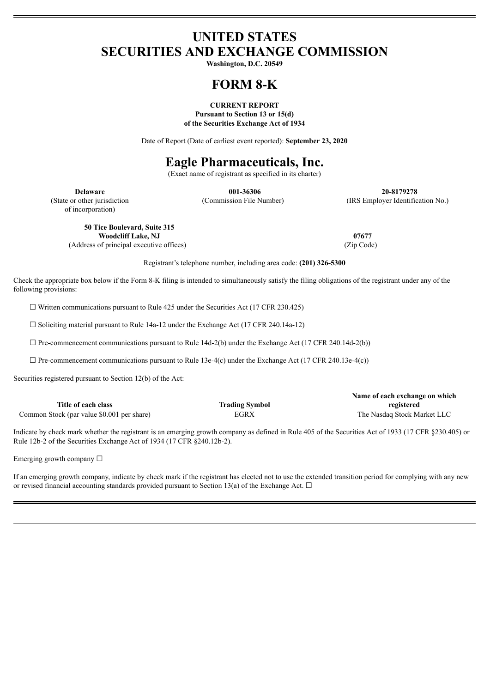# **UNITED STATES SECURITIES AND EXCHANGE COMMISSION**

**Washington, D.C. 20549**

# **FORM 8-K**

### **CURRENT REPORT Pursuant to Section 13 or 15(d) of the Securities Exchange Act of 1934**

Date of Report (Date of earliest event reported): **September 23, 2020**

# **Eagle Pharmaceuticals, Inc.**

(Exact name of registrant as specified in its charter)

of incorporation)

**Delaware 001-36306 20-8179278** (State or other jurisdiction (Commission File Number) (IRS Employer Identification No.)

**50 Tice Boulevard, Suite 315**

(Address of principal executive offices) (Zip Code)

**Woodcliff Lake, NJ 07677**

Registrant's telephone number, including area code: **(201) 326-5300**

Check the appropriate box below if the Form 8-K filing is intended to simultaneously satisfy the filing obligations of the registrant under any of the following provisions:

 $\Box$  Written communications pursuant to Rule 425 under the Securities Act (17 CFR 230.425)

 $\Box$  Soliciting material pursuant to Rule 14a-12 under the Exchange Act (17 CFR 240.14a-12)

 $\Box$  Pre-commencement communications pursuant to Rule 14d-2(b) under the Exchange Act (17 CFR 240.14d-2(b))

 $\Box$  Pre-commencement communications pursuant to Rule 13e-4(c) under the Exchange Act (17 CFR 240.13e-4(c))

Securities registered pursuant to Section 12(b) of the Act:

|                                            |                       | Name of each exchange on which |
|--------------------------------------------|-----------------------|--------------------------------|
| Title of each class                        | <b>Trading Symbol</b> | registered                     |
| Common Stock (par value \$0.001 per share) | EGRX                  | The Nasdaq Stock Market LLC    |

Indicate by check mark whether the registrant is an emerging growth company as defined in Rule 405 of the Securities Act of 1933 (17 CFR §230.405) or Rule 12b-2 of the Securities Exchange Act of 1934 (17 CFR §240.12b-2).

Emerging growth company  $\Box$ 

If an emerging growth company, indicate by check mark if the registrant has elected not to use the extended transition period for complying with any new or revised financial accounting standards provided pursuant to Section 13(a) of the Exchange Act.  $\Box$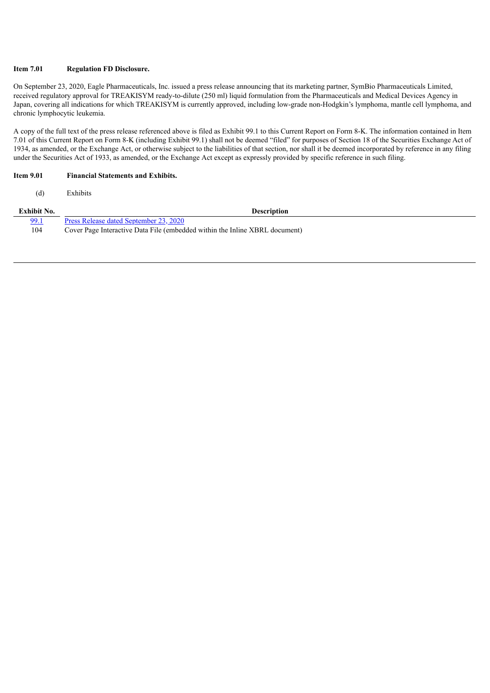## **Item 7.01 Regulation FD Disclosure.**

On September 23, 2020, Eagle Pharmaceuticals, Inc. issued a press release announcing that its marketing partner, SymBio Pharmaceuticals Limited, received regulatory approval for TREAKISYM ready-to-dilute (250 ml) liquid formulation from the Pharmaceuticals and Medical Devices Agency in Japan, covering all indications for which TREAKISYM is currently approved, including low-grade non-Hodgkin's lymphoma, mantle cell lymphoma, and chronic lymphocytic leukemia.

A copy of the full text of the press release referenced above is filed as Exhibit 99.1 to this Current Report on Form 8-K. The information contained in Item 7.01 of this Current Report on Form 8-K (including Exhibit 99.1) shall not be deemed "filed" for purposes of Section 18 of the Securities Exchange Act of 1934, as amended, or the Exchange Act, or otherwise subject to the liabilities of that section, nor shall it be deemed incorporated by reference in any filing under the Securities Act of 1933, as amended, or the Exchange Act except as expressly provided by specific reference in such filing.

### **Item 9.01 Financial Statements and Exhibits.**

(d) Exhibits

| Exhibit No. | <b>Description</b>                                                          |
|-------------|-----------------------------------------------------------------------------|
| 99.1        | <u>Press Release dated September 23, 2020</u>                               |
| 104         | Cover Page Interactive Data File (embedded within the Inline XBRL document) |
|             |                                                                             |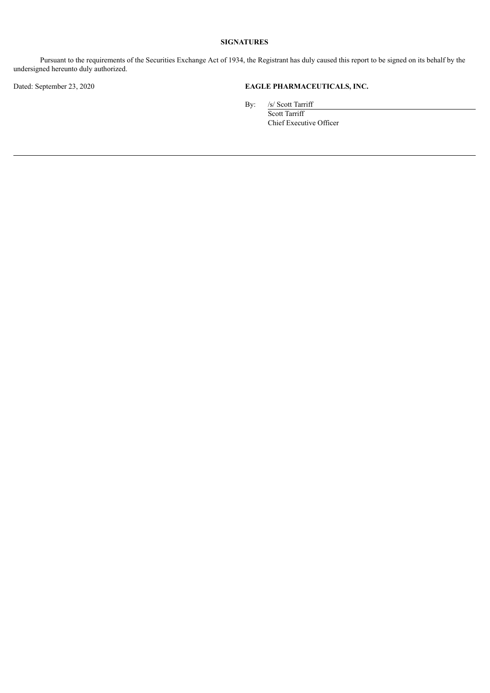# **SIGNATURES**

Pursuant to the requirements of the Securities Exchange Act of 1934, the Registrant has duly caused this report to be signed on its behalf by the undersigned hereunto duly authorized.

# Dated: September 23, 2020 **EAGLE PHARMACEUTICALS, INC.**

By: /s/ Scott Tarriff

Scott Tarriff Chief Executive Officer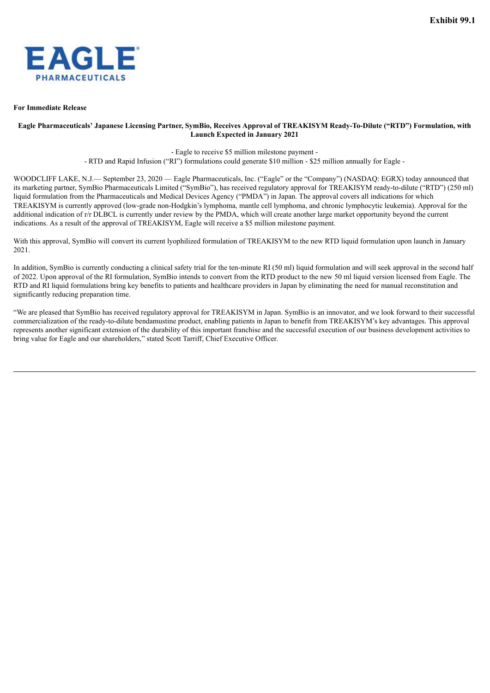<span id="page-3-0"></span>

#### **For Immediate Release**

## Eagle Pharmaceuticals' Japanese Licensing Partner, SymBio, Receives Approval of TREAKISYM Ready-To-Dilute ("RTD") Formulation, with **Launch Expected in January 2021**

- Eagle to receive \$5 million milestone payment -

- RTD and Rapid Infusion ("RI") formulations could generate \$10 million - \$25 million annually for Eagle -

WOODCLIFF LAKE, N.J.— September 23, 2020 — Eagle Pharmaceuticals, Inc. ("Eagle" or the "Company") (NASDAQ: EGRX) today announced that its marketing partner, SymBio Pharmaceuticals Limited ("SymBio"), has received regulatory approval for TREAKISYM ready-to-dilute ("RTD") (250 ml) liquid formulation from the Pharmaceuticals and Medical Devices Agency ("PMDA") in Japan. The approval covers all indications for which TREAKISYM is currently approved (low-grade non-Hodgkin's lymphoma, mantle cell lymphoma, and chronic lymphocytic leukemia). Approval for the additional indication of r/r DLBCL is currently under review by the PMDA, which will create another large market opportunity beyond the current indications. As a result of the approval of TREAKISYM, Eagle will receive a \$5 million milestone payment.

With this approval, SymBio will convert its current lyophilized formulation of TREAKISYM to the new RTD liquid formulation upon launch in January 2021.

In addition, SymBio is currently conducting a clinical safety trial for the ten-minute RI (50 ml) liquid formulation and will seek approval in the second half of 2022. Upon approval of the RI formulation, SymBio intends to convert from the RTD product to the new 50 ml liquid version licensed from Eagle. The RTD and RI liquid formulations bring key benefits to patients and healthcare providers in Japan by eliminating the need for manual reconstitution and significantly reducing preparation time.

"We are pleased that SymBio has received regulatory approval for TREAKISYM in Japan. SymBio is an innovator, and we look forward to their successful commercialization of the ready-to-dilute bendamustine product, enabling patients in Japan to benefit from TREAKISYM's key advantages. This approval represents another significant extension of the durability of this important franchise and the successful execution of our business development activities to bring value for Eagle and our shareholders," stated Scott Tarriff, Chief Executive Officer.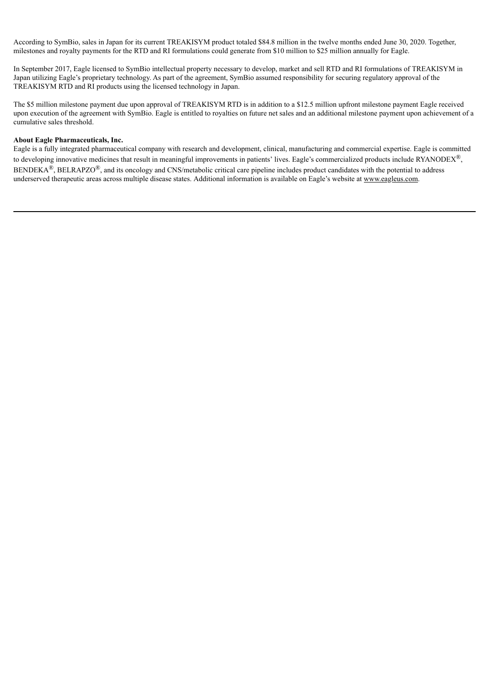According to SymBio, sales in Japan for its current TREAKISYM product totaled \$84.8 million in the twelve months ended June 30, 2020. Together, milestones and royalty payments for the RTD and RI formulations could generate from \$10 million to \$25 million annually for Eagle.

In September 2017, Eagle licensed to SymBio intellectual property necessary to develop, market and sell RTD and RI formulations of TREAKISYM in Japan utilizing Eagle's proprietary technology. As part of the agreement, SymBio assumed responsibility for securing regulatory approval of the TREAKISYM RTD and RI products using the licensed technology in Japan.

The \$5 million milestone payment due upon approval of TREAKISYM RTD is in addition to a \$12.5 million upfront milestone payment Eagle received upon execution of the agreement with SymBio. Eagle is entitled to royalties on future net sales and an additional milestone payment upon achievement of a cumulative sales threshold.

## **About Eagle Pharmaceuticals, Inc.**

Eagle is a fully integrated pharmaceutical company with research and development, clinical, manufacturing and commercial expertise. Eagle is committed to developing innovative medicines that result in meaningful improvements in patients' lives. Eagle's commercialized products include RYANODEX<sup>®</sup>,  $BENDEKA^{\circledR}$ ,  $BELRAPZO^{\circledR}$ , and its oncology and CNS/metabolic critical care pipeline includes product candidates with the potential to address underserved therapeutic areas across multiple disease states. Additional information is available on Eagle's website at www.eagleus.com.